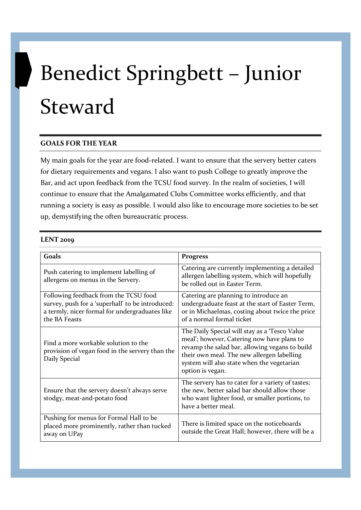## Benedict Springbett – Junior Steward

## GOALS FOR THE YEAR

My main goals for the year are food-related. I want to ensure that the servery better caters for dietary requirements and vegans. I also want to push College to greatly improve the Bar, and act upon feedback from the TCSU food survey. In the realm of societies, I will continue to ensure that the Amalgamated Clubs Committee works efficiently, and that running a society is easy as possible. I would also like to encourage more societies to be set up, demystifying the often bureaucratic process.

## LENT 2019

| Goals                                                                                                                                                        | <b>Progress</b>                                                                                                                                                                                                                                               |
|--------------------------------------------------------------------------------------------------------------------------------------------------------------|---------------------------------------------------------------------------------------------------------------------------------------------------------------------------------------------------------------------------------------------------------------|
| Push catering to implement labelling of<br>allergens on menus in the Servery.                                                                                | Catering are currently implementing a detailed<br>allergen labelling system, which will hopefully<br>be rolled out in Easter Term.                                                                                                                            |
| Following feedback from the TCSU food<br>survey, push for a 'superhall' to be introduced:<br>a termly, nicer formal for undergraduates like<br>the BA Feasts | Catering are planning to introduce an<br>undergraduate feast at the start of Easter Term,<br>or in Michaelmas, costing about twice the price<br>of a normal formal ticket                                                                                     |
| Find a more workable solution to the<br>provision of vegan food in the servery than the<br>Daily Special                                                     | The Daily Special will stay as a 'Tesco Value<br>meal'; however, Catering now have plans to<br>revamp the salad bar, allowing vegans to build<br>their own meal. The new allergen labelling<br>system will also state when the vegetarian<br>option is vegan. |
| Ensure that the servery doesn't always serve<br>stodgy, meat-and-potato food                                                                                 | The servery has to cater for a variety of tastes;<br>the new, better salad bar should allow those<br>who want lighter food, or smaller portions, to<br>have a better meal.                                                                                    |
| Pushing for menus for Formal Hall to be<br>placed more prominently, rather than tucked<br>away on UPay                                                       | There is limited space on the noticeboards<br>outside the Great Hall; however, there will be a                                                                                                                                                                |